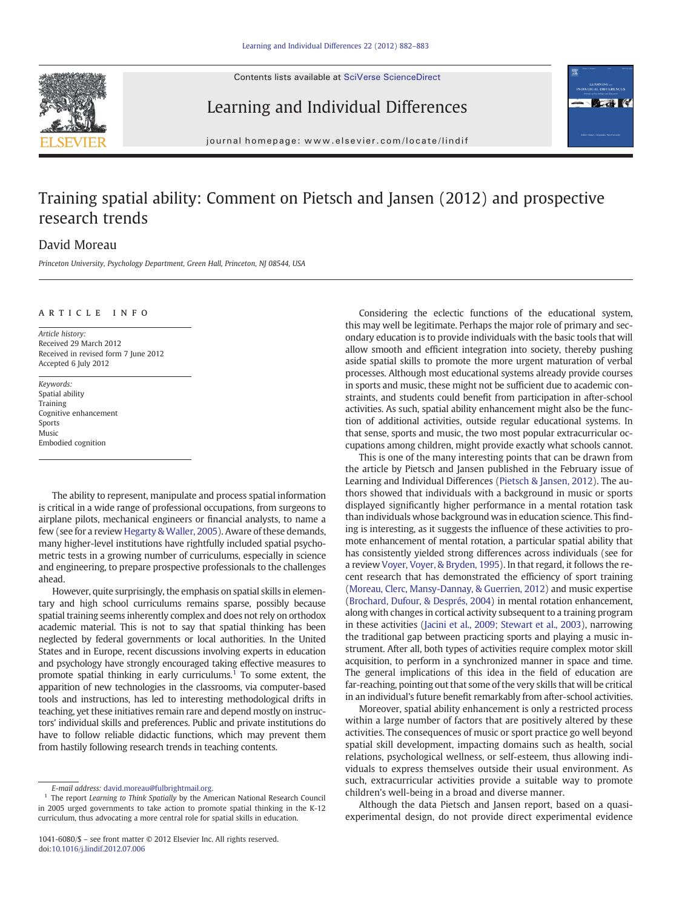Contents lists available at [SciVerse ScienceDirect](http://www.sciencedirect.com/science/journal/10416080)





## Learning and Individual Differences

journal homepage: www.elsevier.com/locate/lindif

# Training spatial ability: Comment on Pietsch and Jansen (2012) and prospective research trends

### David Moreau

Princeton University, Psychology Department, Green Hall, Princeton, NJ 08544, USA

### article info

Article history: Received 29 March 2012 Received in revised form 7 June 2012 Accepted 6 July 2012

Keywords: Spatial ability Training Cognitive enhancement Sports Music Embodied cognition

The ability to represent, manipulate and process spatial information is critical in a wide range of professional occupations, from surgeons to airplane pilots, mechanical engineers or financial analysts, to name a few (see for a review [Hegarty & Waller, 2005](#page-1-0)). Aware of these demands, many higher-level institutions have rightfully included spatial psychometric tests in a growing number of curriculums, especially in science and engineering, to prepare prospective professionals to the challenges ahead.

However, quite surprisingly, the emphasis on spatial skills in elementary and high school curriculums remains sparse, possibly because spatial training seems inherently complex and does not rely on orthodox academic material. This is not to say that spatial thinking has been neglected by federal governments or local authorities. In the United States and in Europe, recent discussions involving experts in education and psychology have strongly encouraged taking effective measures to promote spatial thinking in early curriculums.<sup>1</sup> To some extent, the apparition of new technologies in the classrooms, via computer-based tools and instructions, has led to interesting methodological drifts in teaching, yet these initiatives remain rare and depend mostly on instructors' individual skills and preferences. Public and private institutions do have to follow reliable didactic functions, which may prevent them from hastily following research trends in teaching contents.

Considering the eclectic functions of the educational system, this may well be legitimate. Perhaps the major role of primary and secondary education is to provide individuals with the basic tools that will allow smooth and efficient integration into society, thereby pushing aside spatial skills to promote the more urgent maturation of verbal processes. Although most educational systems already provide courses in sports and music, these might not be sufficient due to academic constraints, and students could benefit from participation in after-school activities. As such, spatial ability enhancement might also be the function of additional activities, outside regular educational systems. In that sense, sports and music, the two most popular extracurricular occupations among children, might provide exactly what schools cannot.

This is one of the many interesting points that can be drawn from the article by Pietsch and Jansen published in the February issue of Learning and Individual Differences [\(Pietsch & Jansen, 2012\)](#page-1-0). The authors showed that individuals with a background in music or sports displayed significantly higher performance in a mental rotation task than individuals whose background was in education science. This finding is interesting, as it suggests the influence of these activities to promote enhancement of mental rotation, a particular spatial ability that has consistently yielded strong differences across individuals (see for a review [Voyer, Voyer, & Bryden, 1995](#page-1-0)). In that regard, it follows the recent research that has demonstrated the efficiency of sport training [\(Moreau, Clerc, Mansy-Dannay, & Guerrien, 2012](#page-1-0)) and music expertise [\(Brochard, Dufour, & Després, 2004\)](#page-1-0) in mental rotation enhancement, along with changes in cortical activity subsequent to a training program in these activities ([Jacini et al., 2009; Stewart et al., 2003\)](#page-1-0), narrowing the traditional gap between practicing sports and playing a music instrument. After all, both types of activities require complex motor skill acquisition, to perform in a synchronized manner in space and time. The general implications of this idea in the field of education are far-reaching, pointing out that some of the very skills that will be critical in an individual's future benefit remarkably from after-school activities.

Moreover, spatial ability enhancement is only a restricted process within a large number of factors that are positively altered by these activities. The consequences of music or sport practice go well beyond spatial skill development, impacting domains such as health, social relations, psychological wellness, or self-esteem, thus allowing individuals to express themselves outside their usual environment. As such, extracurricular activities provide a suitable way to promote children's well-being in a broad and diverse manner.

Although the data Pietsch and Jansen report, based on a quasiexperimental design, do not provide direct experimental evidence

E-mail address: [david.moreau@fulbrightmail.org.](mailto:david.moreau@fulbrightmail.org)

<sup>&</sup>lt;sup>1</sup> The report Learning to Think Spatially by the American National Research Council in 2005 urged governments to take action to promote spatial thinking in the K-12 curriculum, thus advocating a more central role for spatial skills in education.